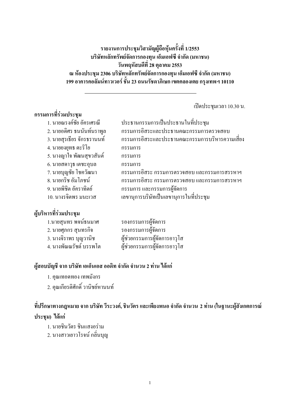ี รายงานการประชมวิสามัญผู้ถือห้นครั้งที่ 1/2553 บริษัทหลักทรัพย์จัดการกองทุน เอ็มเอฟซี จำกัด (มหาชน) วันพฤหัสบดีที่ 28 ตุลาคม 2553 ิณ ห้องประชุม 2306 บริษัทหลักทรัพย์จัดการกองทุน เอ็มเอฟซี จำกัด (มหาชน) 199 อาคารคอลัมน์ทาวเวอร์ ชั้น 23 ถนนรัชดาภิเษก เขตคลองเตย กรุงเทพฯ 10110

เปิดประชุมเวลา 10.30 น.

#### กรรมการที่ร่วมประชุม 1. นายณรงค์ชัย อัครเศรณี ประธานกรรมการเป็นประธานในที่ประชุม 2. นายอดิศร ธนนันท์นราพูล กรรมการอิสระและประธานคณะกรรมการตรวจสอบ 3. นายสรเธียร จักรธรานนท์ ้<br>กรรมการอิสระและประธานคณะกรรมการบริหารความเสี่ยง 4. นายยงยทธ ตะริโย กรรบการ 5. นางฌาใจ พัฒนสขวสันต์ กรรมการ 6. นายสดาวุธ เตชะอุบล กรรมการ ึกรรมการอิสระ กรรมการตรวจสอบ และกรรมการสรรหาฯ 7. นายบฌชัย โชควัฒนา 8. นายกริช อัมโภชน์

ึกรรมการอิสระ กรรมการตรวจสอบ และกรรมการสรรหาฯ 9. นายพิชิต อัคราทิตย์ ึกรรมการ และกรรมการผู้จัดการ 10. นางรจิตพร มนะเวส เลขานุการบริษัทเป็นเลขานุการในที่ประชุม

# ผู้บริหารที่ร่วมประชุม

| 1.นายสุนทร พจน์ธนมาศ   | รองกรรมการผู้จัดการ           |
|------------------------|-------------------------------|
| ่ 2. นายศุภกร สุนทรกิจ | รองกรรมการผู้จัดการ           |
| 3. นางจิราพร บุญวานิช  | ผู้ช่วยกรรมการผู้จัดการอาวุโส |
| 4. นางพัณณรัชต์ บรรพโต | ผู้ช่วยกรรมการผู้จัดการอาวุโส |

### ผู้สอบบัญชี จาก บริษัท เอเอ็นเอส ออดิท จำกัด จำนวน 2 ท่าน ได้แก่

- 1. คณเทอดทอง เทพมังกร
- 2. คณเกียรติศักดิ์ วานิชย์หานนท์

# ี ที่ปรึกษาทางกฎหมาย จาก บริษัท วีระวงค์, ชินวัตร และเพียงพนอ จำกัด จำนวน 2 ท่าน (ในฐานะผู้สังเกตการณ์ ประชม) ได้แก่

- 1. นายชินวัตร ชินแสงอร่าม
- 2. นางสาวเยาวโรจน์ กลิ่นบุญ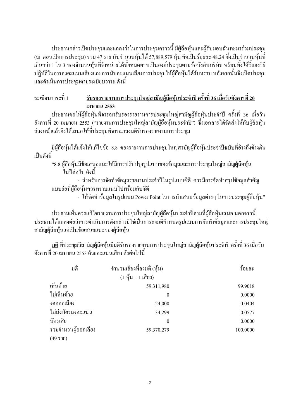ประธานกล่าวเปิดประชมและแถลงว่าในการประชมคราวนี้ มีผู้ถือห้นและผู้รับมอบฉันทะมาร่วมประชม (ณ ตอนเปิดการประชุม) รวม 47 ราย นับจำนวนหุ้นได้ 57,889,579 หุ้น คิดเป็นร้อยละ 48.24 ซึ่งเป็นจำนวนหุ้นที่ ้เกินกว่า 1 ใน 3 ของจำนวนห้นที่จำหน่ายใค้ทั้งหมดครบเป็นองค์ประชมตามข้อบังคับบริษัท พร้อมทั้งใค้ชี้แจงวิธี ปฏิบัติในการลงคะแนนเสียงและการนับคะแนนเสียงการประชุมให้ผู้ถือหุ้นได้รับทราบ หลังจากนั้นจึงเปิดประชุม และคำเนินการประชมตามระเบียบวาระ ดังนี้

### รับรองรายงานการประชุมใหญ่สามัญผู้ถือหุ้นประจำปี ครั้งที่ 36 เมื่อวันอังคารที่ 20 ระเบียบวาระที่ 1 เมษายน 2553

ประธานขอให้ผู้ถือหุ้นพิจารณารับรองรายงานการประชุมใหญ่สามัญผู้ถือหุ้นประจำปี ครั้งที่ 36 เมื่อวัน อังคารที่ 20 เมษายน 2553 ("รายงานการประชุมใหญ่สามัญผู้ถือหุ้นประจำปี") ซึ่งเอกสารได้จัดส่งให้กับผู้ถือหุ้น ล่วงหน้าแล้วจึงได้เสนอให้ที่ประชุมพิจารณาลงมติรับรองรายงานการประชุม

้มีผู้ถือหุ้นได้แจ้งให้แก้ไขข้อ 8.8 ของรายงานการประชุมใหญ่สามัญผู้ถือหุ้นประจำปีฉบับที่อ้างถึงข้างต้น เป็นดังนี้

"8.8 ผู้ถือหุ้นมีข้อเสนอแนะให้มีการปรับปรุงรูปแบบของข้อมูลและการประชุมใหญ่สามัญผู้ถือหุ้น ในปีต่อไป ดังบี้

- สำหรับการจัดทำข้อมลรายงานประจำปีในรปแบบซีดี ควรมีการจัดทำสรปข้อมลสำคัญ แบบย่อที่ผู้ถือหุ้นควรทราบแนบไปพร้อมกับซีดี

- ให้จัดทำข้อมลในรปแบบ Power Point ในการนำเสนอข้อมลต่างๆ ในการประชมผู้ถือห้น"

ี ประธานเห็นควรแก้ไขรายงานการประชมใหญ่สามัญผู้ถือห้นประจำปีตามที่ผู้ถือห้นเสนอ นอกจากนี้ ประธานได้แถลงต่อว่าการดำเนินการดังกล่าวมิใช่เป็นการลงมติกำหนดรปแบบการจัดทำข้อมลและการประชมใหญ่ สามัณผู้ถือห้นแต่เป็นข้อเสนอแนะของผู้ถือห้น

้ <u>มติ</u> ที่ประชุมวิสามัญผู้ถือหุ้นมีมติรับรองรายงานการประชุมใหญ่สามัญผู้ถือหุ้นประจำปี ครั้งที่ 36 เมื่อวัน ้อังคารที่ 20 เมษายน 2553 ด้วยคะแนนเสียง ดังต่อไปนี้

| มดิ                 | ้จำนวนเสียงที่ลงมติ (หุ้น)                              | ร้อยละ   |
|---------------------|---------------------------------------------------------|----------|
|                     | $(1 \nmid \hat{y} \hat{u}) = 1 \hat{u} \hat{d} \hat{v}$ |          |
| เห็นด้วย            | 59,311,980                                              | 99.9018  |
| ไม่เห็นด้วย         | $\theta$                                                | 0.0000   |
| งคออกเสียง          | 24,000                                                  | 0.0404   |
| ไม่ส่งบัตรลงคะแนน   | 34,299                                                  | 0.0577   |
| บัตรเสีย            | $\theta$                                                | 0.0000   |
| รวมจำนวนผู้ออกเสียง | 59,370,279                                              | 100.0000 |
| (49510)             |                                                         |          |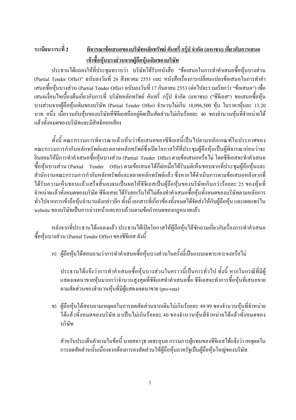### ระเบียบวาระที่ 2 <u>พิจารณาข้อเสนอของบริษัทหลักทรัพย์ คันทรี่ กรุ๊ป จำกัด (มหาชน) เกี่ยวกับการเสนอ</u> <u>เข้าซื้อหุ้นบางส่วนจากผู้ถือหุ้นเดิมของบริษัท</u>

ประธานใด้แถลงให้ที่ประชุมทราบว่า บริษัทได้รับหนังสือ "ข้อเสนอในการทำคำเสนอซื้อหุ้นบางส่วน (Partial Tender Offer)" ฉบับลงวันที่ 26 สิงหาคม 2553 และ หนังสือเรื่องการเปลี่ยนแปลงข้อเสนอในการทำคำ เสนอซื้อหุ้นบางส่วน (Partial Tender Offer) ฉบับลงวันที่ 17 กันยายน 2553 (ต่อไปจะรวมเรียกว่า "ข้อเสนอ") เพื่อ ี เสนอเงื่อนไขเบื้องต้นเกี่ยวกับการที่ บริษัทหลักทรัพย์ คันทรี่ กร๊ป จำกัด (มหาชน) ("ซีจีเอส") ขอเสนอซื้อหุ้น บางส่วนจากผู้ถือหุ้นเดิมของบริษัท (Partial Tender Offer) จำนวนใม่เกิน 18,096,500 หุ้น ในราคาหุ้นละ 13.20 ิบาท อนึ่ง เมื่อรวมกับหุ้นของบริษัทที่ซีจีเอสถืออยู่คิดเป็นสัดส่วนไม่เกินร้อยละ 40 ของจำนวนหุ้นที่จำหน่ายใด้ แล้วทั้งหมดของบริษัทและมีสิทธิออกเสียง

้ทั้งนี้ คณะกรรมการพิจารณาแล้วเห็นว่าข้อเสนอของซีจีเอสนี้เป็นไปตามหลักเกณฑ์ในประกาศของ คณะกรรมการกำกับหลักทรัพย์และตลาดหลักทรัพย์ซึ่งเปิดโอกาสให้ที่ประชุมผู้ถือหุ้นเป็นผู้พิจารณาก่อนว่าจะ ี่ ยินยอมให้มีการทำคำเสนอซื้อห้นบางส่วน (Partial Tender Offer) ตามข้อเสนอหรือไม่ โดยซีจีเอสจะทำคำเสนอ ซื้อหุ้นบางส่วน (Partial Tender Offer) ตามข้อเสนอใค้ก็ต่อเมื่อใค้รับมติเห็นชอบจากที่ประชุมผู้ถือหุ้นและ ี สำนักงานคณะกรรมการกำกับหลักทรัพย์และตลาดหลักทรัพย์แล้ว ซึ่งหากได้ดำเนินการตามข้อเสนอหลังจากที่ ใค้รับความเห็นชอบแล้วเสร็จสิ้นลงจนเป็นผลให้ซีจีเอสเป็นผู้ถือหุ้นของบริษัทเกินกว่าร้อยละ 25 ของหุ้นที่ จำหน่ายแล้วทั้งหมดของบริษัท ซีจีเอสจะใด้รับยกเว้นให้ใม่ต้องทำคำเสนอซื้อหุ้นทั้งหมดของบริษัทตามหลักการ ทั่วไปจากการเข้าถือหุ้นจำนวนดังกล่าวอีก ทั้งนี้ เอกสารที่เกี่ยวข้องทั้งหมดได้จัดส่งให้กับผู้ถือหุ้น และเผยแพร่ใน website ของบริษัทเป็นการล่วงหน้าและครบถ้วนตามข้อกำหนดของกฎหมายแล้ว

หลังจากที่ประธานได้แถลงแล้ว ประธานได้เปิดโอกาสให้ผู้ถือหุ้นได้ซักถามเกี่ยวกับเรื่องการทำคำเสนอ ซื้อห้นบางส่วน (Partial Tender Offer) ของซีจีเอส ดังนี้

ึก) ผู้ถือหุ้นได้สอบถามว่าการทำคำเสนอซื้อหุ้นบางส่วนในครั้งนี้เป็นแบบเฉพาะเจาะจงหรือไม่

ประธานได้แจ้งว่าการทำคำเสนอซื้อหุ้นบางส่วนในคราวนี้เป็นการทั่วไป ทั้งนี้ หากในกรณีที่มีผู้ แสคงเจตนาขายหุ้นมากกว่าจำนวนสูงสุดที่ซีจีเอสทำคำเสนอซื้อ ซีจีเอสจะทำการซื้อหุ้นที่เสนอขาย ตามสัดส่วนของจำนวนหุ้นที่มีผู้แสดงเจตนาขาย (pro-rata)

ึข) ผู้ถือหุ้นใด้สอบถามเหตุผลในการลดสัดส่วนจากเดิมใม่เกินร้อยละ 49.99 ของจำนวนหุ้นที่จำหน่าย ใค้แล้วทั้งหมดของบริษัท มาเป็นไม่เกินร้อยละ 40 ของจำนวนห้นที่จำหน่ายไค้แล้วทั้งหมดของ บริษัท

ี สำหรับประเด็นคำถามในข้อนี้ นายสดาวุธ เตชะอุบล กรรมการผู้แทนของซีจีเอสได้แจ้งว่า เหตุผลใน ้การลดสัดส่วนนั้นเนื่องจากต้องการคงสัดส่วนให้ผู้ถือหุ้นภาครัฐเป็นผู้ถือหุ้นใหญ่ของบริษัท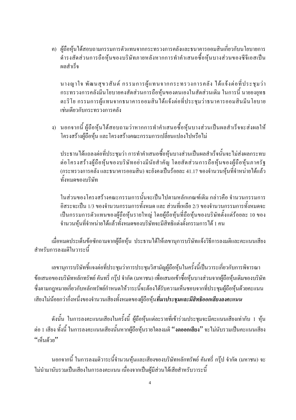ี ค) ผู้ถือหุ้นได้สอบถามกรรมการตัวแทนจากกระทรวงการคลังและธนาคารออมสินเกี่ยวกับนโยบายการ ดำรงสัดส่วนการถือหุ้นของบริษัทภายหลังหากการทำคำเสนอซื้อหุ้นบางส่วนของซีจีเอสเป็น ผลสำเร็จ

้นางญาใจ พัฒนสุขวสันต์ กรรมการผู้แทนจากกระทรวงการคลัง ใด้แจ้งต่อที่ประชุมว่า ้ กระทรวงการคลังมีนโยบายคงสัดส่วนการถือห้นของตนเองในสัดส่วนเดิม ในการนี้ นายยงยทธ ้ตะริโย กรรมการผู้แทนจากธนาคารออมสินใด้แจ้งต่อที่ประชุมว่าธนาคารออมสินมีนโยบาย เช่นเดียวกับกระทรวงการคลัง

ึง) นอกจากนี้ ผู้ถือหุ้นได้สอบถามว่าหากการทำคำเสนอซื้อหุ้นบางส่วนเป็นผลสำเร็จจะส่งผลให้ โครงสร้างผู้ถือหุ้น และโครงสร้างคณะกรรมการเปลี่ยนแปลงไปหรือไม่

ประธานได้แถลงต่อที่ประชุมว่า การทำคำเสนอซื้อหุ้นบางส่วนเป็นผลสำเร็จนั้นจะไม่ส่งผลกระทบ ต่อโครงสร้างผู้ถือหุ้นของบริษัทอย่างมีนัยสำคัญ โดยสัดส่วนการถือหุ้นของผู้ถือหุ้นภาครัฐ (กระทรวงการคลัง และธนาคารออมสิน) จะยังคงเป็นร้อยละ 41.17 ของจำนวนหุ้นที่จำหน่ายได้แล้ว ทั้งหมดของบริษัท

ในส่วนของโครงสร้างคณะกรรมการนั้นจะเป็นไปตามหลักเกณฑ์เดิม กล่าวคือ จำนวนกรรมการ ้อิสระจะเป็น 1/3 ของจำนวนกรรมการทั้งหมด และ ส่วนที่เหลือ 2/3 ของจำนวนกรรมการทั้งหมดจะ เป็นกรรมการตัวแทนของผู้ถือหุ้นรายใหญ่ โดยผู้ถือหุ้นที่ถือหุ้นของบริษัทตั้งแต่ร้อยละ 10 ของ ้จำนวนหุ้นที่จำหน่ายใด้แล้วทั้งหมดของบริษัทจะมีสิทธิแต่งตั้งกรรมการใด้ 1 คน

เมื่อหมดประเด็นข้อซักถามจากผู้ถือหุ้น ประธานใด้ให้เลขานุการบริษัทแจ้งวิธีการลงมติและคะแนนเสียง สำหรับการลงมติในวาระนี้

เลขานุการบริษัทชี้แจงต่อที่ประชุมว่าการประชุมวิสามัญผู้ถือหุ้นในครั้งนี้เป็นวาระเกี่ยวกับการพิจารณา ข้อเสนอของบริษัทหลักทรัพย์ คันทรี่ กรุ๊ป จำกัด (มหาชน) เพื่อเสนอเข้าซื้อหุ้นบางส่วนจากผู้ถือหุ้นเดิมของบริษัท ซึ่งตามกฎหมายเกี่ยวกับหลักทรัพย์กำหนดให้วาระนี้จะต้องได้รับความเห็นชอบจากที่ประชุมผู้ถือหุ้นด้วยคะแนน ้เสียงไม่น้อยกว่ากึ่งหนึ่งของจำนวนเสียงทั้งหมดของผู้ถือห้น**ที่มาประชมและมีสิทธิออกเสียงลงคะแนน** 

้ ดังนั้น ในการลงคะแนนเสียงในครั้งนี้ ผู้ถือหุ้นแต่ละรายที่เข้าร่วมประชุมจะมีคะแนนเสียงเท่ากับ 1 หุ้น ้ต่อ 1 เสียง ทั้งนี้ ในการลงคะแนนเสียงนั้นหากผู้ถือหุ้นรายใดลงมติ ''งดออกเสียง'' จะไม่นับรวมเป็นคะแนนเสียง "เห็นด้วย"

้นอกจากนี้ ในการลงมติวาระนี้จำนวนหุ้นและเสียงของบริษัทหลักทรัพย์ คันทรี่ กรุ๊ป จำกัด (มหาชน) จะ ไม่นำมานับรวมเป็นเสียงในการลงคะแนน เนื่องจากเป็นผ้มีส่วนได้เสียสำหรับวาระนี้